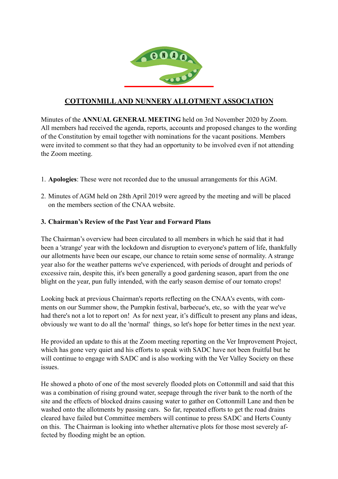

# **COTTONMILL AND NUNNERY ALLOTMENT ASSOCIATION**

Minutes of the **ANNUAL GENERAL MEETING** held on 3rd November 2020 by Zoom. All members had received the agenda, reports, accounts and proposed changes to the wording of the Constitution by email together with nominations for the vacant positions. Members were invited to comment so that they had an opportunity to be involved even if not attending the Zoom meeting.

- 1. **Apologies**: These were not recorded due to the unusual arrangements for this AGM.
- 2. Minutes of AGM held on 28th April 2019 were agreed by the meeting and will be placed on the members section of the CNAA website.

### **3. Chairman's Review of the Past Year and Forward Plans**

The Chairman's overview had been circulated to all members in which he said that it had been a 'strange' year with the lockdown and disruption to everyone's pattern of life, thankfully our allotments have been our escape, our chance to retain some sense of normality. A strange year also for the weather patterns we've experienced, with periods of drought and periods of excessive rain, despite this, it's been generally a good gardening season, apart from the one blight on the year, pun fully intended, with the early season demise of our tomato crops!

Looking back at previous Chairman's reports reflecting on the CNAA's events, with comments on our Summer show, the Pumpkin festival, barbecue's, etc, so with the year we've had there's not a lot to report on! As for next year, it's difficult to present any plans and ideas, obviously we want to do all the 'normal' things, so let's hope for better times in the next year.

He provided an update to this at the Zoom meeting reporting on the Ver Improvement Project, which has gone very quiet and his efforts to speak with SADC have not been fruitful but he will continue to engage with SADC and is also working with the Ver Valley Society on these issues.

He showed a photo of one of the most severely flooded plots on Cottonmill and said that this was a combination of rising ground water, seepage through the river bank to the north of the site and the effects of blocked drains causing water to gather on Cottonmill Lane and then be washed onto the allotments by passing cars. So far, repeated efforts to get the road drains cleared have failed but Committee members will continue to press SADC and Herts County on this. The Chairman is looking into whether alternative plots for those most severely affected by flooding might be an option.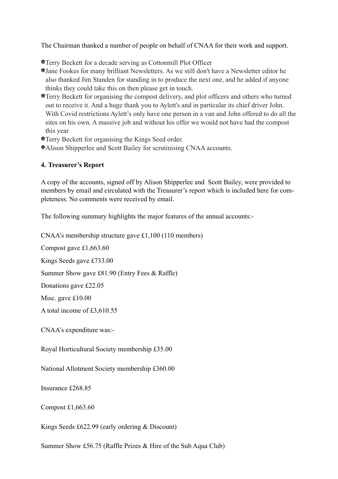The Chairman thanked a number of people on behalf of CNAA for their work and support.

- Terry Beckett for a decade serving as Cottonmill Plot Officer
- Jane Fookes for many brilliant Newsletters. As we still don't have a Newsletter editor he also thanked Jim Standen for standing in to produce the next one, and he added if anyone thinks they could take this on then please get in touch.
- Terry Beckett for organising the compost delivery, and plot officers and others who turned out to receive it. And a huge thank you to Aylett's and in particular its chief driver John. With Covid restrictions Aylett's only have one person in a van and John offered to do all the sites on his own. A massive job and without his offer we would not have had the compost this year
- Terry Beckett for organising the Kings Seed order.
- Alison Shipperlee and Scott Bailey for scrutinising CNAA accounts.

## **4. Treasurer's Report**

A copy of the accounts, signed off by Alison Shipperlee and Scott Bailey, were provided to members by email and circulated with the Treasurer's report which is included here for completeness. No comments were received by email.

The following summary highlights the major features of the annual accounts:-

CNAA's membership structure gave £1,100 (110 members)

Compost gave £1,663.60

Kings Seeds gave £733.00

Summer Show gave £81.90 (Entry Fees & Raffle)

Donations gave £22.05

Misc. gave £10.00

A total income of £3,610.55

CNAA's expenditure was:-

Royal Horticultural Society membership £35.00

National Allotment Society membership £360.00

Insurance £268.85

Compost £1,663.60

Kings Seeds £622.99 (early ordering & Discount)

Summer Show £56.75 (Raffle Prizes & Hire of the Sub Aqua Club)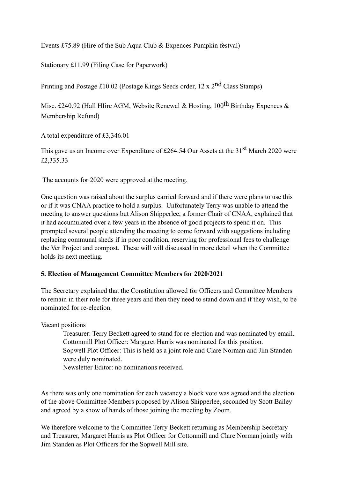Events £75.89 (Hire of the Sub Aqua Club & Expences Pumpkin festval)

Stationary £11.99 (Filing Case for Paperwork)

Printing and Postage £10.02 (Postage Kings Seeds order, 12 x 2nd Class Stamps)

Misc. £240.92 (Hall HIire AGM, Website Renewal & Hosting, 100<sup>th</sup> Birthday Expences & Membership Refund)

A total expenditure of £3,346.01

This gave us an Income over Expenditure of £264.54 Our Assets at the  $31<sup>st</sup>$  March 2020 were £2,335.33

The accounts for 2020 were approved at the meeting.

One question was raised about the surplus carried forward and if there were plans to use this or if it was CNAA practice to hold a surplus. Unfortunately Terry was unable to attend the meeting to answer questions but Alison Shipperlee, a former Chair of CNAA, explained that it had accumulated over a few years in the absence of good projects to spend it on. This prompted several people attending the meeting to come forward with suggestions including replacing communal sheds if in poor condition, reserving for professional fees to challenge the Ver Project and compost. These will will discussed in more detail when the Committee holds its next meeting.

### **5. Election of Management Committee Members for 2020/2021**

The Secretary explained that the Constitution allowed for Officers and Committee Members to remain in their role for three years and then they need to stand down and if they wish, to be nominated for re-election.

Vacant positions

Treasurer: Terry Beckett agreed to stand for re-election and was nominated by email. Cottonmill Plot Officer: Margaret Harris was nominated for this position. Sopwell Plot Officer: This is held as a joint role and Clare Norman and Jim Standen were duly nominated.

Newsletter Editor: no nominations received.

As there was only one nomination for each vacancy a block vote was agreed and the election of the above Committee Members proposed by Alison Shipperlee, seconded by Scott Bailey and agreed by a show of hands of those joining the meeting by Zoom.

We therefore welcome to the Committee Terry Beckett returning as Membership Secretary and Treasurer, Margaret Harris as Plot Officer for Cottonmill and Clare Norman jointly with Jim Standen as Plot Officers for the Sopwell Mill site.